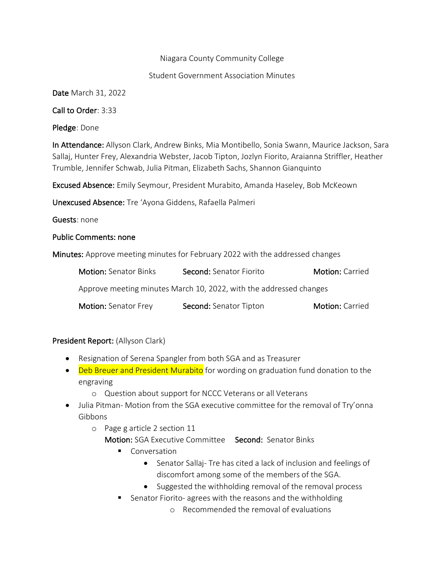#### Niagara County Community College

#### Student Government Association Minutes

Date March 31, 2022

Call to Order: 3:33

Pledge: Done

In Attendance: Allyson Clark, Andrew Binks, Mia Montibello, Sonia Swann, Maurice Jackson, Sara Sallaj, Hunter Frey, Alexandria Webster, Jacob Tipton, Jozlyn Fiorito, Araianna Striffler, Heather Trumble, Jennifer Schwab, Julia Pitman, Elizabeth Sachs, Shannon Gianquinto

Excused Absence: Emily Seymour, President Murabito, Amanda Haseley, Bob McKeown

Unexcused Absence: Tre 'Ayona Giddens, Rafaella Palmeri

Guests: none

#### Public Comments: none

Minutes: Approve meeting minutes for February 2022 with the addressed changes

| <b>Motion: Senator Binks</b>                                       | Second: Senator Fiorito | <b>Motion: Carried</b> |
|--------------------------------------------------------------------|-------------------------|------------------------|
| Approve meeting minutes March 10, 2022, with the addressed changes |                         |                        |
| <b>Motion: Senator Frey</b>                                        | Second: Senator Tipton  | <b>Motion: Carried</b> |

### President Report: (Allyson Clark)

- Resignation of Serena Spangler from both SGA and as Treasurer
- Deb Breuer and President Murabito for wording on graduation fund donation to the engraving
	- o Question about support for NCCC Veterans or all Veterans
- Julia Pitman- Motion from the SGA executive committee for the removal of Try'onna Gibbons
	- o Page g article 2 section 11
		- Motion: SGA Executive Committee Second: Senator Binks
			- Conversation
				- Senator Sallaj- Tre has cited a lack of inclusion and feelings of discomfort among some of the members of the SGA.
				- Suggested the withholding removal of the removal process
			- Senator Fiorito- agrees with the reasons and the withholding
				- o Recommended the removal of evaluations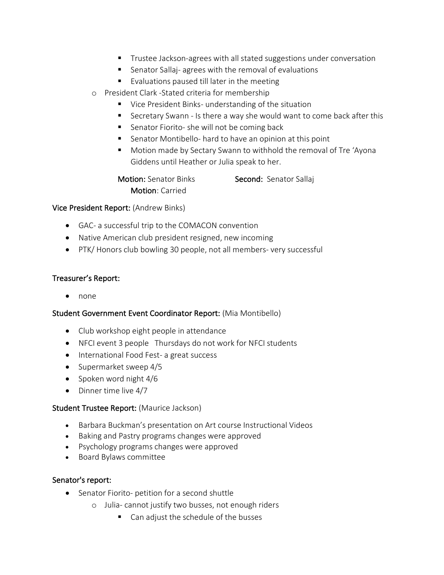- Trustee Jackson-agrees with all stated suggestions under conversation
- Senator Sallaj- agrees with the removal of evaluations
- Evaluations paused till later in the meeting
- o President Clark -Stated criteria for membership
	- Vice President Binks- understanding of the situation
	- Secretary Swann Is there a way she would want to come back after this
	- Senator Fiorito- she will not be coming back
	- Senator Montibello- hard to have an opinion at this point
	- Motion made by Sectary Swann to withhold the removal of Tre 'Ayona Giddens until Heather or Julia speak to her.

Motion: Senator Binks Second: Senator Sallaj Motion: Carried

# Vice President Report: (Andrew Binks)

- GAC- a successful trip to the COMACON convention
- Native American club president resigned, new incoming
- PTK/ Honors club bowling 30 people, not all members- very successful

# Treasurer's Report:

• none

### Student Government Event Coordinator Report: (Mia Montibello)

- Club workshop eight people in attendance
- NFCI event 3 people Thursdays do not work for NFCI students
- International Food Fest- a great success
- Supermarket sweep 4/5
- Spoken word night 4/6
- Dinner time live 4/7

### Student Trustee Report: (Maurice Jackson)

- Barbara Buckman's presentation on Art course Instructional Videos
- Baking and Pastry programs changes were approved
- Psychology programs changes were approved
- Board Bylaws committee

### Senator's report:

- Senator Fiorito- petition for a second shuttle
	- o Julia- cannot justify two busses, not enough riders
		- Can adjust the schedule of the busses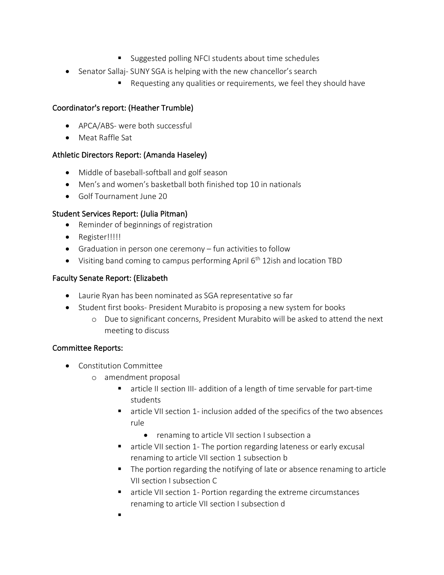- Suggested polling NFCI students about time schedules
- Senator Sallaj- SUNY SGA is helping with the new chancellor's search
	- Requesting any qualities or requirements, we feel they should have

# Coordinator's report: (Heather Trumble)

- APCA/ABS- were both successful
- Meat Raffle Sat

# Athletic Directors Report: (Amanda Haseley)

- Middle of baseball-softball and golf season
- Men's and women's basketball both finished top 10 in nationals
- Golf Tournament June 20

# Student Services Report: (Julia Pitman)

- Reminder of beginnings of registration
- Register!!!!!
- Graduation in person one ceremony fun activities to follow
- Visiting band coming to campus performing April  $6<sup>th</sup>$  12ish and location TBD

# Faculty Senate Report: (Elizabeth

- Laurie Ryan has been nominated as SGA representative so far
- Student first books- President Murabito is proposing a new system for books
	- o Due to significant concerns, President Murabito will be asked to attend the next meeting to discuss

### Committee Reports:

- Constitution Committee
	- o amendment proposal
		- article II section III- addition of a length of time servable for part-time students
		- article VII section 1- inclusion added of the specifics of the two absences rule
			- renaming to article VII section I subsection a
		- article VII section 1- The portion regarding lateness or early excusal renaming to article VII section 1 subsection b
		- The portion regarding the notifying of late or absence renaming to article VII section I subsection C
		- article VII section 1- Portion regarding the extreme circumstances renaming to article VII section I subsection d
		- §